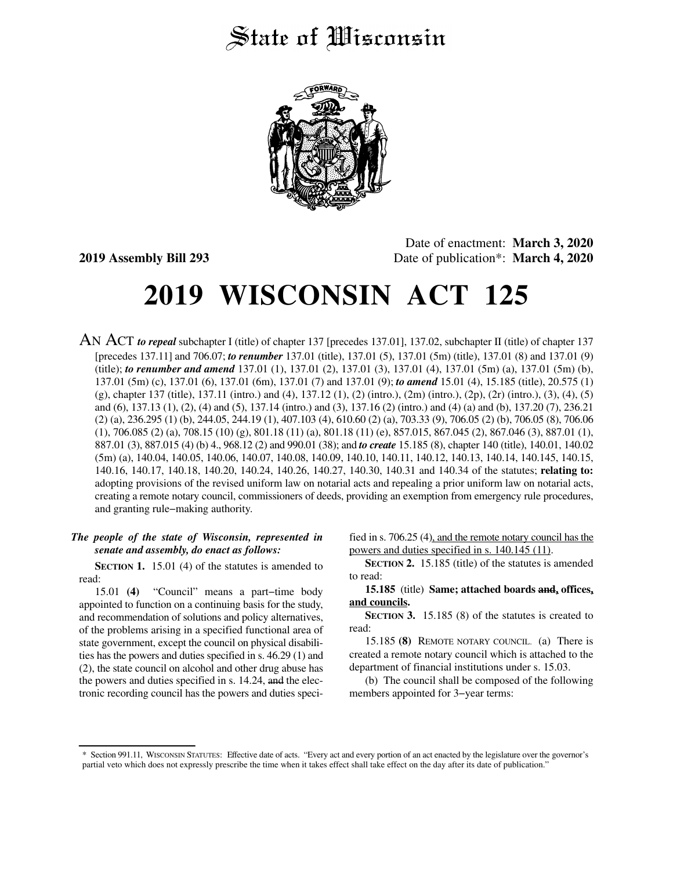## State of *Wisconsin*



Date of enactment: **March 3, 2020 2019 Assembly Bill 293** Date of publication\*: **March 4, 2020**

# **2019 WISCONSIN ACT 125**

AN ACT *to repeal* subchapter I (title) of chapter 137 [precedes 137.01], 137.02, subchapter II (title) of chapter 137 [precedes 137.11] and 706.07; *to renumber* 137.01 (title), 137.01 (5), 137.01 (5m) (title), 137.01 (8) and 137.01 (9) (title); *to renumber and amend* 137.01 (1), 137.01 (2), 137.01 (3), 137.01 (4), 137.01 (5m) (a), 137.01 (5m) (b), 137.01 (5m) (c), 137.01 (6), 137.01 (6m), 137.01 (7) and 137.01 (9); *to amend* 15.01 (4), 15.185 (title), 20.575 (1) (g), chapter 137 (title), 137.11 (intro.) and (4), 137.12 (1), (2) (intro.), (2m) (intro.), (2p), (2r) (intro.), (3), (4), (5) and (6), 137.13 (1), (2), (4) and (5), 137.14 (intro.) and (3), 137.16 (2) (intro.) and (4) (a) and (b), 137.20 (7), 236.21 (2) (a), 236.295 (1) (b), 244.05, 244.19 (1), 407.103 (4), 610.60 (2) (a), 703.33 (9), 706.05 (2) (b), 706.05 (8), 706.06 (1), 706.085 (2) (a), 708.15 (10) (g), 801.18 (11) (a), 801.18 (11) (e), 857.015, 867.045 (2), 867.046 (3), 887.01 (1), 887.01 (3), 887.015 (4) (b) 4., 968.12 (2) and 990.01 (38); and *to create* 15.185 (8), chapter 140 (title), 140.01, 140.02 (5m) (a), 140.04, 140.05, 140.06, 140.07, 140.08, 140.09, 140.10, 140.11, 140.12, 140.13, 140.14, 140.145, 140.15, 140.16, 140.17, 140.18, 140.20, 140.24, 140.26, 140.27, 140.30, 140.31 and 140.34 of the statutes; **relating to:** adopting provisions of the revised uniform law on notarial acts and repealing a prior uniform law on notarial acts, creating a remote notary council, commissioners of deeds, providing an exemption from emergency rule procedures, and granting rule−making authority.

### *The people of the state of Wisconsin, represented in senate and assembly, do enact as follows:*

**SECTION 1.** 15.01 (4) of the statutes is amended to read:

15.01 **(4)** "Council" means a part−time body appointed to function on a continuing basis for the study, and recommendation of solutions and policy alternatives, of the problems arising in a specified functional area of state government, except the council on physical disabilities has the powers and duties specified in s. 46.29 (1) and (2), the state council on alcohol and other drug abuse has the powers and duties specified in s. 14.24, and the electronic recording council has the powers and duties specified in s. 706.25 (4), and the remote notary council has the powers and duties specified in s. 140.145 (11).

**SECTION 2.** 15.185 (title) of the statutes is amended to read:

**15.185** (title) **Same; attached boards and, offices, and councils.**

**SECTION** 3. 15.185 (8) of the statutes is created to read:

15.185 **(8)** REMOTE NOTARY COUNCIL. (a) There is created a remote notary council which is attached to the department of financial institutions under s. 15.03.

(b) The council shall be composed of the following members appointed for 3−year terms:

<sup>\*</sup> Section 991.11, WISCONSIN STATUTES: Effective date of acts. "Every act and every portion of an act enacted by the legislature over the governor's partial veto which does not expressly prescribe the time when it takes effect shall take effect on the day after its date of publication."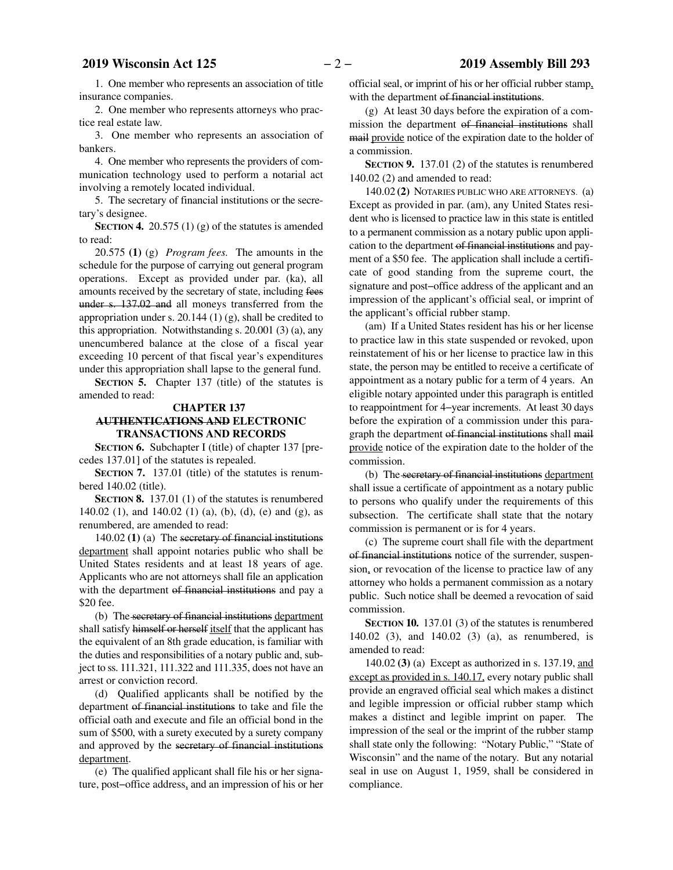1. One member who represents an association of title insurance companies.

2. One member who represents attorneys who practice real estate law.

3. One member who represents an association of bankers.

4. One member who represents the providers of communication technology used to perform a notarial act involving a remotely located individual.

5. The secretary of financial institutions or the secretary's designee.

**SECTION 4.** 20.575 (1) (g) of the statutes is amended to read:

20.575 **(1)** (g) *Program fees.* The amounts in the schedule for the purpose of carrying out general program operations. Except as provided under par. (ka), all amounts received by the secretary of state, including fees under s. 137.02 and all moneys transferred from the appropriation under s. 20.144 (1) (g), shall be credited to this appropriation. Notwithstanding s. 20.001 (3) (a), any unencumbered balance at the close of a fiscal year exceeding 10 percent of that fiscal year's expenditures under this appropriation shall lapse to the general fund.

**SECTION 5.** Chapter 137 (title) of the statutes is amended to read:

### **CHAPTER 137**

### **AUTHENTICATIONS AND ELECTRONIC TRANSACTIONS AND RECORDS**

**SECTION 6.** Subchapter I (title) of chapter 137 [precedes 137.01] of the statutes is repealed.

**SECTION 7.** 137.01 (title) of the statutes is renumbered 140.02 (title).

**SECTION 8.** 137.01 (1) of the statutes is renumbered 140.02 (1), and 140.02 (1) (a), (b), (d), (e) and (g), as renumbered, are amended to read:

140.02 **(1)** (a) The secretary of financial institutions department shall appoint notaries public who shall be United States residents and at least 18 years of age. Applicants who are not attorneys shall file an application with the department of financial institutions and pay a \$20 fee.

(b) The secretary of financial institutions department shall satisfy himself or herself itself that the applicant has the equivalent of an 8th grade education, is familiar with the duties and responsibilities of a notary public and, subject to ss. 111.321, 111.322 and 111.335, does not have an arrest or conviction record.

(d) Qualified applicants shall be notified by the department of financial institutions to take and file the official oath and execute and file an official bond in the sum of \$500, with a surety executed by a surety company and approved by the secretary of financial institutions department.

(e) The qualified applicant shall file his or her signature, post−office address, and an impression of his or her official seal, or imprint of his or her official rubber stamp, with the department of financial institutions.

(g) At least 30 days before the expiration of a commission the department of financial institutions shall mail provide notice of the expiration date to the holder of a commission.

**SECTION 9.** 137.01 (2) of the statutes is renumbered 140.02 (2) and amended to read:

140.02 **(2)** NOTARIES PUBLIC WHO ARE ATTORNEYS. (a) Except as provided in par. (am), any United States resident who is licensed to practice law in this state is entitled to a permanent commission as a notary public upon application to the department of financial institutions and payment of a \$50 fee. The application shall include a certificate of good standing from the supreme court, the signature and post−office address of the applicant and an impression of the applicant's official seal, or imprint of the applicant's official rubber stamp.

(am) If a United States resident has his or her license to practice law in this state suspended or revoked, upon reinstatement of his or her license to practice law in this state, the person may be entitled to receive a certificate of appointment as a notary public for a term of 4 years. An eligible notary appointed under this paragraph is entitled to reappointment for 4−year increments. At least 30 days before the expiration of a commission under this paragraph the department of financial institutions shall mail provide notice of the expiration date to the holder of the commission.

(b) The secretary of financial institutions department shall issue a certificate of appointment as a notary public to persons who qualify under the requirements of this subsection. The certificate shall state that the notary commission is permanent or is for 4 years.

(c) The supreme court shall file with the department of financial institutions notice of the surrender, suspension, or revocation of the license to practice law of any attorney who holds a permanent commission as a notary public. Such notice shall be deemed a revocation of said commission.

**SECTION 10.** 137.01 (3) of the statutes is renumbered 140.02 (3), and 140.02 (3) (a), as renumbered, is amended to read:

140.02 **(3)** (a) Except as authorized in s. 137.19, and except as provided in s. 140.17, every notary public shall provide an engraved official seal which makes a distinct and legible impression or official rubber stamp which makes a distinct and legible imprint on paper. The impression of the seal or the imprint of the rubber stamp shall state only the following: "Notary Public," "State of Wisconsin" and the name of the notary. But any notarial seal in use on August 1, 1959, shall be considered in compliance.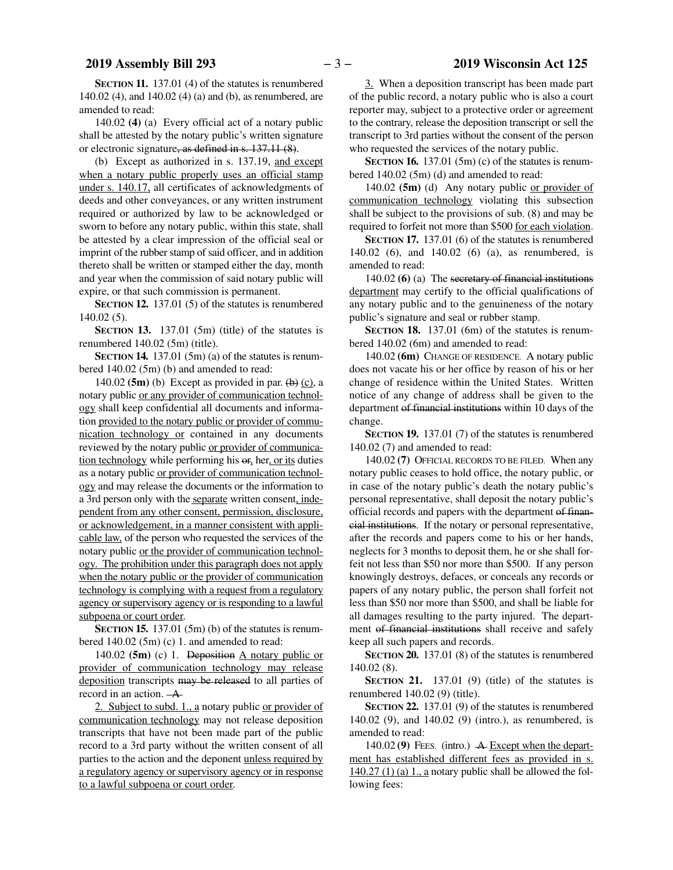### **2019 Assembly Bill 293** − 3 − **2019 Wisconsin Act 125**

**SECTION 11.** 137.01 (4) of the statutes is renumbered 140.02 (4), and 140.02 (4) (a) and (b), as renumbered, are amended to read:

140.02 **(4)** (a) Every official act of a notary public shall be attested by the notary public's written signature or electronic signature, as defined in s. 137.11 (8).

(b) Except as authorized in s. 137.19, and except when a notary public properly uses an official stamp under s. 140.17, all certificates of acknowledgments of deeds and other conveyances, or any written instrument required or authorized by law to be acknowledged or sworn to before any notary public, within this state, shall be attested by a clear impression of the official seal or imprint of the rubber stamp of said officer, and in addition thereto shall be written or stamped either the day, month and year when the commission of said notary public will expire, or that such commission is permanent.

**SECTION 12.** 137.01 (5) of the statutes is renumbered 140.02 (5).

**SECTION** 13. 137.01 (5m) (title) of the statutes is renumbered 140.02 (5m) (title).

**SECTION 14.** 137.01 (5m) (a) of the statutes is renumbered 140.02 (5m) (b) and amended to read:

140.02  $(5m)$  (b) Except as provided in par.  $(b)$  (c), a notary public or any provider of communication technology shall keep confidential all documents and information provided to the notary public or provider of communication technology or contained in any documents reviewed by the notary public or provider of communication technology while performing his or, her, or its duties as a notary public or provider of communication technology and may release the documents or the information to a 3rd person only with the separate written consent, independent from any other consent, permission, disclosure, or acknowledgement, in a manner consistent with applicable law, of the person who requested the services of the notary public or the provider of communication technology. The prohibition under this paragraph does not apply when the notary public or the provider of communication technology is complying with a request from a regulatory agency or supervisory agency or is responding to a lawful subpoena or court order.

**SECTION 15.** 137.01 (5m) (b) of the statutes is renumbered 140.02 (5m) (c) 1. and amended to read:

140.02 **(5m)** (c) 1. Deposition A notary public or provider of communication technology may release deposition transcripts may be released to all parties of record in an action.  $-A$ 

2. Subject to subd. 1., a notary public or provider of communication technology may not release deposition transcripts that have not been made part of the public record to a 3rd party without the written consent of all parties to the action and the deponent unless required by a regulatory agency or supervisory agency or in response to a lawful subpoena or court order.

3. When a deposition transcript has been made part of the public record, a notary public who is also a court reporter may, subject to a protective order or agreement to the contrary, release the deposition transcript or sell the transcript to 3rd parties without the consent of the person who requested the services of the notary public.

**SECTION 16.** 137.01 (5m) (c) of the statutes is renumbered 140.02 (5m) (d) and amended to read:

140.02 **(5m)** (d) Any notary public or provider of communication technology violating this subsection shall be subject to the provisions of sub. (8) and may be required to forfeit not more than \$500 for each violation.

**SECTION 17.** 137.01 (6) of the statutes is renumbered 140.02 (6), and 140.02 (6) (a), as renumbered, is amended to read:

140.02 **(6)** (a) The secretary of financial institutions department may certify to the official qualifications of any notary public and to the genuineness of the notary public's signature and seal or rubber stamp.

**SECTION 18.** 137.01 (6m) of the statutes is renumbered 140.02 (6m) and amended to read:

140.02 **(6m)** CHANGE OF RESIDENCE. A notary public does not vacate his or her office by reason of his or her change of residence within the United States. Written notice of any change of address shall be given to the department of financial institutions within 10 days of the change.

**SECTION 19.** 137.01 (7) of the statutes is renumbered 140.02 (7) and amended to read:

140.02 **(7)** OFFICIAL RECORDS TO BE FILED. When any notary public ceases to hold office, the notary public, or in case of the notary public's death the notary public's personal representative, shall deposit the notary public's official records and papers with the department of financial institutions. If the notary or personal representative, after the records and papers come to his or her hands, neglects for 3 months to deposit them, he or she shall forfeit not less than \$50 nor more than \$500. If any person knowingly destroys, defaces, or conceals any records or papers of any notary public, the person shall forfeit not less than \$50 nor more than \$500, and shall be liable for all damages resulting to the party injured. The department of financial institutions shall receive and safely keep all such papers and records.

**SECTION 20.** 137.01 (8) of the statutes is renumbered 140.02 (8).

**SECTION 21.** 137.01 (9) (title) of the statutes is renumbered 140.02 (9) (title).

**SECTION 22.** 137.01 (9) of the statutes is renumbered 140.02 (9), and 140.02 (9) (intro.), as renumbered, is amended to read:

140.02 $(9)$  FEES. (intro.)  $\overline{A}$  Except when the department has established different fees as provided in s.  $140.27$  (1) (a) 1., a notary public shall be allowed the following fees: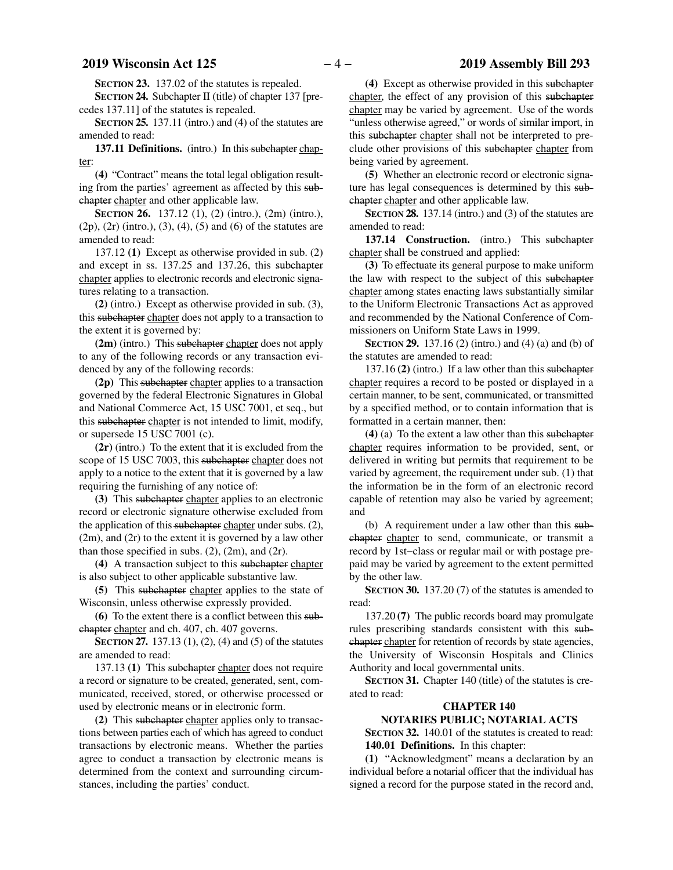**SECTION 23.** 137.02 of the statutes is repealed.

**SECTION 24.** Subchapter II (title) of chapter 137 [precedes 137.11] of the statutes is repealed.

**SECTION 25.** 137.11 (intro.) and (4) of the statutes are amended to read:

**137.11 Definitions.** (intro.) In this subchapter chapter:

**(4)** "Contract" means the total legal obligation resulting from the parties' agreement as affected by this subchapter chapter and other applicable law.

**SECTION 26.** 137.12 (1), (2) (intro.), (2m) (intro.),  $(2p)$ ,  $(2r)$  (intro.),  $(3)$ ,  $(4)$ ,  $(5)$  and  $(6)$  of the statutes are amended to read:

137.12 **(1)** Except as otherwise provided in sub. (2) and except in ss. 137.25 and 137.26, this subchapter chapter applies to electronic records and electronic signatures relating to a transaction.

**(2)** (intro.) Except as otherwise provided in sub. (3), this subchapter chapter does not apply to a transaction to the extent it is governed by:

**(2m)** (intro.) This subchapter chapter does not apply to any of the following records or any transaction evidenced by any of the following records:

**(2p)** This subchapter chapter applies to a transaction governed by the federal Electronic Signatures in Global and National Commerce Act, 15 USC 7001, et seq., but this subchapter chapter is not intended to limit, modify, or supersede 15 USC 7001 (c).

**(2r)** (intro.) To the extent that it is excluded from the scope of 15 USC 7003, this subchapter chapter does not apply to a notice to the extent that it is governed by a law requiring the furnishing of any notice of:

**(3)** This subchapter chapter applies to an electronic record or electronic signature otherwise excluded from the application of this subchapter chapter under subs. (2), (2m), and (2r) to the extent it is governed by a law other than those specified in subs.  $(2)$ ,  $(2m)$ , and  $(2r)$ .

**(4)** A transaction subject to this subchapter chapter is also subject to other applicable substantive law.

**(5)** This subchapter chapter applies to the state of Wisconsin, unless otherwise expressly provided.

**(6)** To the extent there is a conflict between this subchapter chapter and ch. 407, ch. 407 governs.

**SECTION 27.** 137.13 (1), (2), (4) and (5) of the statutes are amended to read:

137.13 **(1)** This subchapter chapter does not require a record or signature to be created, generated, sent, communicated, received, stored, or otherwise processed or used by electronic means or in electronic form.

**(2)** This subchapter chapter applies only to transactions between parties each of which has agreed to conduct transactions by electronic means. Whether the parties agree to conduct a transaction by electronic means is determined from the context and surrounding circumstances, including the parties' conduct.

**(4)** Except as otherwise provided in this subchapter chapter, the effect of any provision of this subchapter chapter may be varied by agreement. Use of the words "unless otherwise agreed," or words of similar import, in this subchapter chapter shall not be interpreted to preclude other provisions of this subchapter chapter from being varied by agreement.

**(5)** Whether an electronic record or electronic signature has legal consequences is determined by this subchapter chapter and other applicable law.

**SECTION 28.** 137.14 (intro.) and (3) of the statutes are amended to read:

**137.14 Construction.** (intro.) This subchapter chapter shall be construed and applied:

**(3)** To effectuate its general purpose to make uniform the law with respect to the subject of this subchapter chapter among states enacting laws substantially similar to the Uniform Electronic Transactions Act as approved and recommended by the National Conference of Commissioners on Uniform State Laws in 1999.

**SECTION 29.** 137.16 (2) (intro.) and (4) (a) and (b) of the statutes are amended to read:

137.16 **(2)** (intro.) If a law other than this subchapter chapter requires a record to be posted or displayed in a certain manner, to be sent, communicated, or transmitted by a specified method, or to contain information that is formatted in a certain manner, then:

**(4)** (a) To the extent a law other than this subchapter chapter requires information to be provided, sent, or delivered in writing but permits that requirement to be varied by agreement, the requirement under sub. (1) that the information be in the form of an electronic record capable of retention may also be varied by agreement; and

(b) A requirement under a law other than this subchapter chapter to send, communicate, or transmit a record by 1st−class or regular mail or with postage prepaid may be varied by agreement to the extent permitted by the other law.

**SECTION 30.** 137.20 (7) of the statutes is amended to read:

137.20 **(7)** The public records board may promulgate rules prescribing standards consistent with this subchapter chapter for retention of records by state agencies, the University of Wisconsin Hospitals and Clinics Authority and local governmental units.

**SECTION 31.** Chapter 140 (title) of the statutes is created to read:

### **CHAPTER 140**

### **NOTARIES PUBLIC; NOTARIAL ACTS**

**SECTION 32.** 140.01 of the statutes is created to read: **140.01 Definitions.** In this chapter:

**(1)** "Acknowledgment" means a declaration by an individual before a notarial officer that the individual has signed a record for the purpose stated in the record and,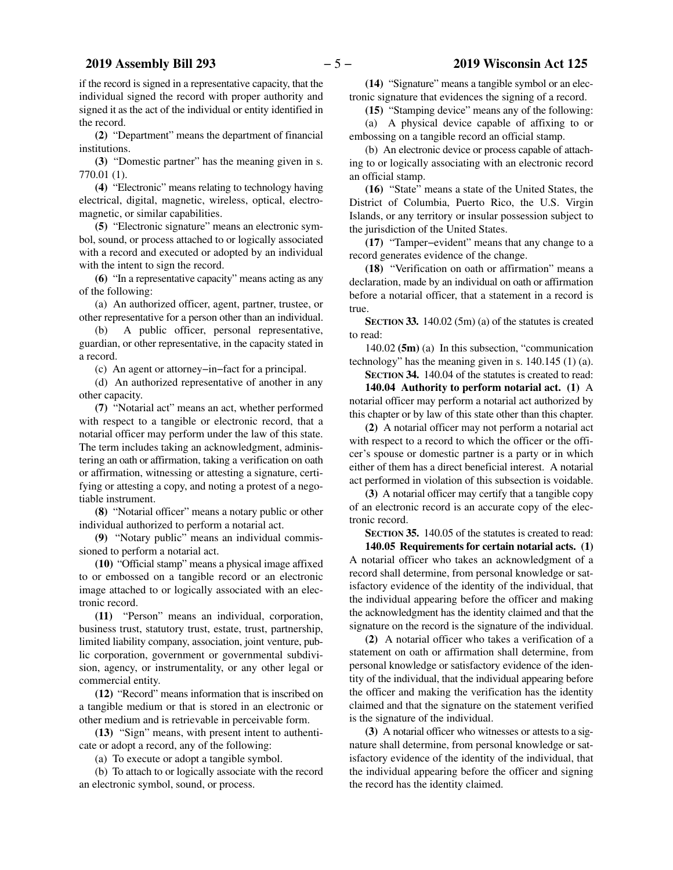if the record is signed in a representative capacity, that the individual signed the record with proper authority and signed it as the act of the individual or entity identified in the record.

**(2)** "Department" means the department of financial institutions.

**(3)** "Domestic partner" has the meaning given in s. 770.01 (1).

**(4)** "Electronic" means relating to technology having electrical, digital, magnetic, wireless, optical, electromagnetic, or similar capabilities.

**(5)** "Electronic signature" means an electronic symbol, sound, or process attached to or logically associated with a record and executed or adopted by an individual with the intent to sign the record.

**(6)** "In a representative capacity" means acting as any of the following:

(a) An authorized officer, agent, partner, trustee, or other representative for a person other than an individual.

(b) A public officer, personal representative, guardian, or other representative, in the capacity stated in a record.

(c) An agent or attorney−in−fact for a principal.

(d) An authorized representative of another in any other capacity.

**(7)** "Notarial act" means an act, whether performed with respect to a tangible or electronic record, that a notarial officer may perform under the law of this state. The term includes taking an acknowledgment, administering an oath or affirmation, taking a verification on oath or affirmation, witnessing or attesting a signature, certifying or attesting a copy, and noting a protest of a negotiable instrument.

**(8)** "Notarial officer" means a notary public or other individual authorized to perform a notarial act.

**(9)** "Notary public" means an individual commissioned to perform a notarial act.

**(10)** "Official stamp" means a physical image affixed to or embossed on a tangible record or an electronic image attached to or logically associated with an electronic record.

**(11)** "Person" means an individual, corporation, business trust, statutory trust, estate, trust, partnership, limited liability company, association, joint venture, public corporation, government or governmental subdivision, agency, or instrumentality, or any other legal or commercial entity.

**(12)** "Record" means information that is inscribed on a tangible medium or that is stored in an electronic or other medium and is retrievable in perceivable form.

**(13)** "Sign" means, with present intent to authenticate or adopt a record, any of the following:

(a) To execute or adopt a tangible symbol.

(b) To attach to or logically associate with the record an electronic symbol, sound, or process.

**(14)** "Signature" means a tangible symbol or an electronic signature that evidences the signing of a record.

**(15)** "Stamping device" means any of the following:

(a) A physical device capable of affixing to or embossing on a tangible record an official stamp.

(b) An electronic device or process capable of attaching to or logically associating with an electronic record an official stamp.

**(16)** "State" means a state of the United States, the District of Columbia, Puerto Rico, the U.S. Virgin Islands, or any territory or insular possession subject to the jurisdiction of the United States.

**(17)** "Tamper−evident" means that any change to a record generates evidence of the change.

**(18)** "Verification on oath or affirmation" means a declaration, made by an individual on oath or affirmation before a notarial officer, that a statement in a record is true.

**SECTION 33.** 140.02 (5m) (a) of the statutes is created to read:

140.02 **(5m)** (a) In this subsection, "communication technology" has the meaning given in s. 140.145 (1) (a).

**SECTION 34.** 140.04 of the statutes is created to read: **140.04 Authority to perform notarial act. (1)** A notarial officer may perform a notarial act authorized by this chapter or by law of this state other than this chapter.

**(2)** A notarial officer may not perform a notarial act with respect to a record to which the officer or the officer's spouse or domestic partner is a party or in which either of them has a direct beneficial interest. A notarial act performed in violation of this subsection is voidable.

**(3)** A notarial officer may certify that a tangible copy of an electronic record is an accurate copy of the electronic record.

**SECTION 35.** 140.05 of the statutes is created to read:

**140.05 Requirements for certain notarial acts. (1)** A notarial officer who takes an acknowledgment of a record shall determine, from personal knowledge or satisfactory evidence of the identity of the individual, that the individual appearing before the officer and making the acknowledgment has the identity claimed and that the signature on the record is the signature of the individual.

**(2)** A notarial officer who takes a verification of a statement on oath or affirmation shall determine, from personal knowledge or satisfactory evidence of the identity of the individual, that the individual appearing before the officer and making the verification has the identity claimed and that the signature on the statement verified is the signature of the individual.

**(3)** A notarial officer who witnesses or attests to a signature shall determine, from personal knowledge or satisfactory evidence of the identity of the individual, that the individual appearing before the officer and signing the record has the identity claimed.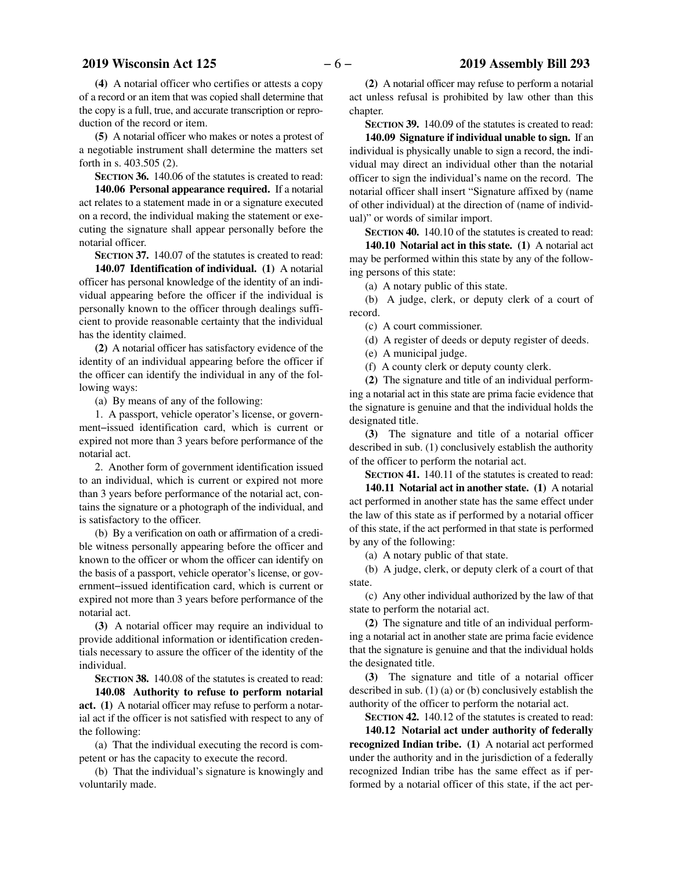### **2019 Wisconsin Act 125** − 6 − **2019 Assembly Bill 293**

**(4)** A notarial officer who certifies or attests a copy of a record or an item that was copied shall determine that the copy is a full, true, and accurate transcription or reproduction of the record or item.

**(5)** A notarial officer who makes or notes a protest of a negotiable instrument shall determine the matters set forth in s. 403.505 (2).

**SECTION 36.** 140.06 of the statutes is created to read:

**140.06 Personal appearance required.** If a notarial act relates to a statement made in or a signature executed on a record, the individual making the statement or executing the signature shall appear personally before the notarial officer.

**SECTION 37.** 140.07 of the statutes is created to read:

**140.07 Identification of individual. (1)** A notarial officer has personal knowledge of the identity of an individual appearing before the officer if the individual is personally known to the officer through dealings sufficient to provide reasonable certainty that the individual has the identity claimed.

**(2)** A notarial officer has satisfactory evidence of the identity of an individual appearing before the officer if the officer can identify the individual in any of the following ways:

(a) By means of any of the following:

1. A passport, vehicle operator's license, or government−issued identification card, which is current or expired not more than 3 years before performance of the notarial act.

2. Another form of government identification issued to an individual, which is current or expired not more than 3 years before performance of the notarial act, contains the signature or a photograph of the individual, and is satisfactory to the officer.

(b) By a verification on oath or affirmation of a credible witness personally appearing before the officer and known to the officer or whom the officer can identify on the basis of a passport, vehicle operator's license, or government−issued identification card, which is current or expired not more than 3 years before performance of the notarial act.

**(3)** A notarial officer may require an individual to provide additional information or identification credentials necessary to assure the officer of the identity of the individual.

**SECTION 38.** 140.08 of the statutes is created to read:

**140.08 Authority to refuse to perform notarial act. (1)** A notarial officer may refuse to perform a notarial act if the officer is not satisfied with respect to any of the following:

(a) That the individual executing the record is competent or has the capacity to execute the record.

(b) That the individual's signature is knowingly and voluntarily made.

**(2)** A notarial officer may refuse to perform a notarial act unless refusal is prohibited by law other than this chapter.

**SECTION 39.** 140.09 of the statutes is created to read: **140.09 Signature if individual unable to sign.** If an individual is physically unable to sign a record, the individual may direct an individual other than the notarial officer to sign the individual's name on the record. The notarial officer shall insert "Signature affixed by (name of other individual) at the direction of (name of individual)" or words of similar import.

**SECTION** 40. 140.10 of the statutes is created to read: **140.10 Notarial act in this state. (1)** A notarial act may be performed within this state by any of the following persons of this state:

(a) A notary public of this state.

(b) A judge, clerk, or deputy clerk of a court of record.

(c) A court commissioner.

(d) A register of deeds or deputy register of deeds.

(e) A municipal judge.

(f) A county clerk or deputy county clerk.

**(2)** The signature and title of an individual performing a notarial act in this state are prima facie evidence that the signature is genuine and that the individual holds the designated title.

**(3)** The signature and title of a notarial officer described in sub. (1) conclusively establish the authority of the officer to perform the notarial act.

**SECTION 41.** 140.11 of the statutes is created to read:

**140.11 Notarial act in another state. (1)** A notarial act performed in another state has the same effect under the law of this state as if performed by a notarial officer of this state, if the act performed in that state is performed by any of the following:

(a) A notary public of that state.

(b) A judge, clerk, or deputy clerk of a court of that state.

(c) Any other individual authorized by the law of that state to perform the notarial act.

**(2)** The signature and title of an individual performing a notarial act in another state are prima facie evidence that the signature is genuine and that the individual holds the designated title.

**(3)** The signature and title of a notarial officer described in sub. (1) (a) or (b) conclusively establish the authority of the officer to perform the notarial act.

**SECTION 42.** 140.12 of the statutes is created to read:

**140.12 Notarial act under authority of federally recognized Indian tribe. (1)** A notarial act performed under the authority and in the jurisdiction of a federally recognized Indian tribe has the same effect as if performed by a notarial officer of this state, if the act per-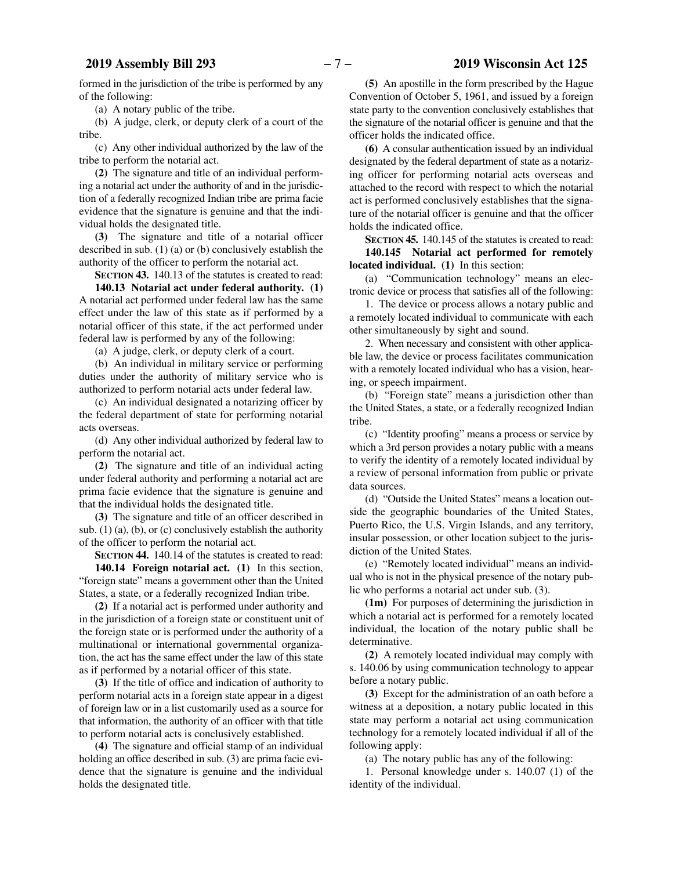### **2019 Assembly Bill 293** − 7 − **2019 Wisconsin Act 125**

formed in the jurisdiction of the tribe is performed by any of the following:

(a) A notary public of the tribe.

(b) A judge, clerk, or deputy clerk of a court of the tribe.

(c) Any other individual authorized by the law of the tribe to perform the notarial act.

**(2)** The signature and title of an individual performing a notarial act under the authority of and in the jurisdiction of a federally recognized Indian tribe are prima facie evidence that the signature is genuine and that the individual holds the designated title.

**(3)** The signature and title of a notarial officer described in sub. (1) (a) or (b) conclusively establish the authority of the officer to perform the notarial act.

**SECTION 43.** 140.13 of the statutes is created to read:

**140.13 Notarial act under federal authority. (1)** A notarial act performed under federal law has the same effect under the law of this state as if performed by a notarial officer of this state, if the act performed under federal law is performed by any of the following:

(a) A judge, clerk, or deputy clerk of a court.

(b) An individual in military service or performing duties under the authority of military service who is authorized to perform notarial acts under federal law.

(c) An individual designated a notarizing officer by the federal department of state for performing notarial acts overseas.

(d) Any other individual authorized by federal law to perform the notarial act.

**(2)** The signature and title of an individual acting under federal authority and performing a notarial act are prima facie evidence that the signature is genuine and that the individual holds the designated title.

**(3)** The signature and title of an officer described in sub.  $(1)$  (a), (b), or (c) conclusively establish the authority of the officer to perform the notarial act.

**SECTION 44.** 140.14 of the statutes is created to read:

**140.14 Foreign notarial act. (1)** In this section, "foreign state" means a government other than the United States, a state, or a federally recognized Indian tribe.

**(2)** If a notarial act is performed under authority and in the jurisdiction of a foreign state or constituent unit of the foreign state or is performed under the authority of a multinational or international governmental organization, the act has the same effect under the law of this state as if performed by a notarial officer of this state.

**(3)** If the title of office and indication of authority to perform notarial acts in a foreign state appear in a digest of foreign law or in a list customarily used as a source for that information, the authority of an officer with that title to perform notarial acts is conclusively established.

**(4)** The signature and official stamp of an individual holding an office described in sub. (3) are prima facie evidence that the signature is genuine and the individual holds the designated title.

**(5)** An apostille in the form prescribed by the Hague Convention of October 5, 1961, and issued by a foreign state party to the convention conclusively establishes that the signature of the notarial officer is genuine and that the officer holds the indicated office.

**(6)** A consular authentication issued by an individual designated by the federal department of state as a notarizing officer for performing notarial acts overseas and attached to the record with respect to which the notarial act is performed conclusively establishes that the signature of the notarial officer is genuine and that the officer holds the indicated office.

**SECTION 45.** 140.145 of the statutes is created to read: **140.145 Notarial act performed for remotely located individual. (1)** In this section:

(a) "Communication technology" means an electronic device or process that satisfies all of the following:

1. The device or process allows a notary public and a remotely located individual to communicate with each other simultaneously by sight and sound.

2. When necessary and consistent with other applicable law, the device or process facilitates communication with a remotely located individual who has a vision, hearing, or speech impairment.

(b) "Foreign state" means a jurisdiction other than the United States, a state, or a federally recognized Indian tribe.

(c) "Identity proofing" means a process or service by which a 3rd person provides a notary public with a means to verify the identity of a remotely located individual by a review of personal information from public or private data sources.

(d) "Outside the United States" means a location outside the geographic boundaries of the United States, Puerto Rico, the U.S. Virgin Islands, and any territory, insular possession, or other location subject to the jurisdiction of the United States.

(e) "Remotely located individual" means an individual who is not in the physical presence of the notary public who performs a notarial act under sub. (3).

**(1m)** For purposes of determining the jurisdiction in which a notarial act is performed for a remotely located individual, the location of the notary public shall be determinative.

**(2)** A remotely located individual may comply with s. 140.06 by using communication technology to appear before a notary public.

**(3)** Except for the administration of an oath before a witness at a deposition, a notary public located in this state may perform a notarial act using communication technology for a remotely located individual if all of the following apply:

(a) The notary public has any of the following:

1. Personal knowledge under s. 140.07 (1) of the identity of the individual.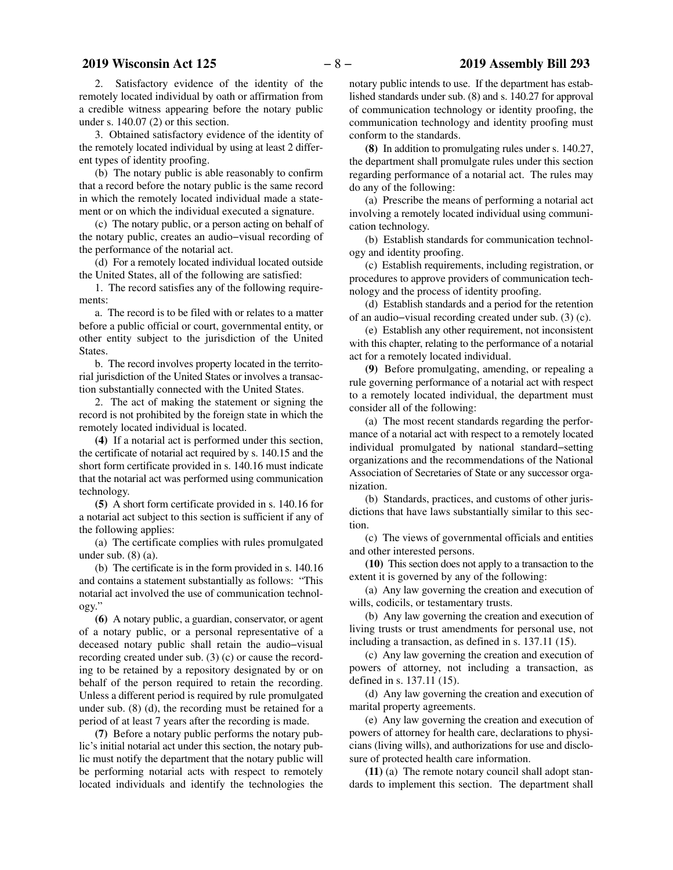### **2019 Wisconsin Act 125** − 8 − **2019 Assembly Bill 293**

2. Satisfactory evidence of the identity of the remotely located individual by oath or affirmation from a credible witness appearing before the notary public under s. 140.07 (2) or this section.

3. Obtained satisfactory evidence of the identity of the remotely located individual by using at least 2 different types of identity proofing.

(b) The notary public is able reasonably to confirm that a record before the notary public is the same record in which the remotely located individual made a statement or on which the individual executed a signature.

(c) The notary public, or a person acting on behalf of the notary public, creates an audio−visual recording of the performance of the notarial act.

(d) For a remotely located individual located outside the United States, all of the following are satisfied:

1. The record satisfies any of the following requirements:

a. The record is to be filed with or relates to a matter before a public official or court, governmental entity, or other entity subject to the jurisdiction of the United States.

b. The record involves property located in the territorial jurisdiction of the United States or involves a transaction substantially connected with the United States.

2. The act of making the statement or signing the record is not prohibited by the foreign state in which the remotely located individual is located.

**(4)** If a notarial act is performed under this section, the certificate of notarial act required by s. 140.15 and the short form certificate provided in s. 140.16 must indicate that the notarial act was performed using communication technology.

**(5)** A short form certificate provided in s. 140.16 for a notarial act subject to this section is sufficient if any of the following applies:

(a) The certificate complies with rules promulgated under sub. (8) (a).

(b) The certificate is in the form provided in s. 140.16 and contains a statement substantially as follows: "This notarial act involved the use of communication technology."

**(6)** A notary public, a guardian, conservator, or agent of a notary public, or a personal representative of a deceased notary public shall retain the audio−visual recording created under sub. (3) (c) or cause the recording to be retained by a repository designated by or on behalf of the person required to retain the recording. Unless a different period is required by rule promulgated under sub. (8) (d), the recording must be retained for a period of at least 7 years after the recording is made.

**(7)** Before a notary public performs the notary public's initial notarial act under this section, the notary public must notify the department that the notary public will be performing notarial acts with respect to remotely located individuals and identify the technologies the notary public intends to use. If the department has established standards under sub. (8) and s. 140.27 for approval of communication technology or identity proofing, the communication technology and identity proofing must conform to the standards.

**(8)** In addition to promulgating rules under s. 140.27, the department shall promulgate rules under this section regarding performance of a notarial act. The rules may do any of the following:

(a) Prescribe the means of performing a notarial act involving a remotely located individual using communication technology.

(b) Establish standards for communication technology and identity proofing.

(c) Establish requirements, including registration, or procedures to approve providers of communication technology and the process of identity proofing.

(d) Establish standards and a period for the retention of an audio−visual recording created under sub. (3) (c).

(e) Establish any other requirement, not inconsistent with this chapter, relating to the performance of a notarial act for a remotely located individual.

**(9)** Before promulgating, amending, or repealing a rule governing performance of a notarial act with respect to a remotely located individual, the department must consider all of the following:

(a) The most recent standards regarding the performance of a notarial act with respect to a remotely located individual promulgated by national standard−setting organizations and the recommendations of the National Association of Secretaries of State or any successor organization.

(b) Standards, practices, and customs of other jurisdictions that have laws substantially similar to this section.

(c) The views of governmental officials and entities and other interested persons.

**(10)** This section does not apply to a transaction to the extent it is governed by any of the following:

(a) Any law governing the creation and execution of wills, codicils, or testamentary trusts.

(b) Any law governing the creation and execution of living trusts or trust amendments for personal use, not including a transaction, as defined in s. 137.11 (15).

(c) Any law governing the creation and execution of powers of attorney, not including a transaction, as defined in s. 137.11 (15).

(d) Any law governing the creation and execution of marital property agreements.

(e) Any law governing the creation and execution of powers of attorney for health care, declarations to physicians (living wills), and authorizations for use and disclosure of protected health care information.

**(11)** (a) The remote notary council shall adopt standards to implement this section. The department shall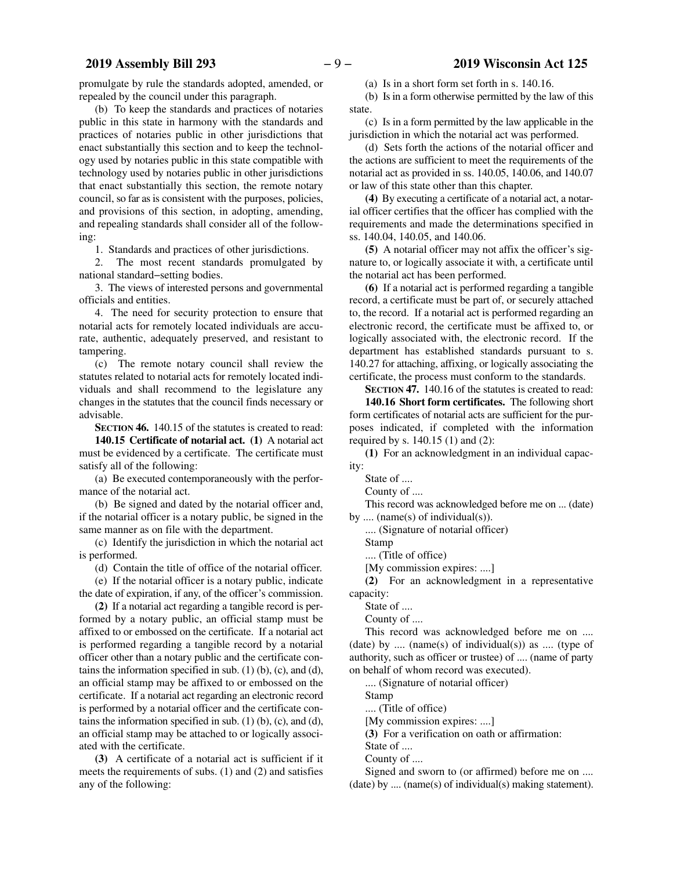### **2019 Assembly Bill 293** − 9 − **2019 Wisconsin Act 125**

promulgate by rule the standards adopted, amended, or repealed by the council under this paragraph.

(b) To keep the standards and practices of notaries public in this state in harmony with the standards and practices of notaries public in other jurisdictions that enact substantially this section and to keep the technology used by notaries public in this state compatible with technology used by notaries public in other jurisdictions that enact substantially this section, the remote notary council, so far as is consistent with the purposes, policies, and provisions of this section, in adopting, amending, and repealing standards shall consider all of the following:

1. Standards and practices of other jurisdictions.

2. The most recent standards promulgated by national standard−setting bodies.

3. The views of interested persons and governmental officials and entities.

4. The need for security protection to ensure that notarial acts for remotely located individuals are accurate, authentic, adequately preserved, and resistant to tampering.

(c) The remote notary council shall review the statutes related to notarial acts for remotely located individuals and shall recommend to the legislature any changes in the statutes that the council finds necessary or advisable.

**SECTION 46.** 140.15 of the statutes is created to read:

**140.15 Certificate of notarial act. (1)** A notarial act must be evidenced by a certificate. The certificate must satisfy all of the following:

(a) Be executed contemporaneously with the performance of the notarial act.

(b) Be signed and dated by the notarial officer and, if the notarial officer is a notary public, be signed in the same manner as on file with the department.

(c) Identify the jurisdiction in which the notarial act is performed.

(d) Contain the title of office of the notarial officer. (e) If the notarial officer is a notary public, indicate the date of expiration, if any, of the officer's commission.

**(2)** If a notarial act regarding a tangible record is performed by a notary public, an official stamp must be affixed to or embossed on the certificate. If a notarial act is performed regarding a tangible record by a notarial officer other than a notary public and the certificate contains the information specified in sub.  $(1)$  (b),  $(c)$ , and  $(d)$ , an official stamp may be affixed to or embossed on the certificate. If a notarial act regarding an electronic record is performed by a notarial officer and the certificate contains the information specified in sub.  $(1)$  (b),  $(c)$ , and  $(d)$ , an official stamp may be attached to or logically associated with the certificate.

**(3)** A certificate of a notarial act is sufficient if it meets the requirements of subs. (1) and (2) and satisfies any of the following:

(a) Is in a short form set forth in s. 140.16.

(b) Is in a form otherwise permitted by the law of this state.

(c) Is in a form permitted by the law applicable in the jurisdiction in which the notarial act was performed.

(d) Sets forth the actions of the notarial officer and the actions are sufficient to meet the requirements of the notarial act as provided in ss. 140.05, 140.06, and 140.07 or law of this state other than this chapter.

**(4)** By executing a certificate of a notarial act, a notarial officer certifies that the officer has complied with the requirements and made the determinations specified in ss. 140.04, 140.05, and 140.06.

**(5)** A notarial officer may not affix the officer's signature to, or logically associate it with, a certificate until the notarial act has been performed.

**(6)** If a notarial act is performed regarding a tangible record, a certificate must be part of, or securely attached to, the record. If a notarial act is performed regarding an electronic record, the certificate must be affixed to, or logically associated with, the electronic record. If the department has established standards pursuant to s. 140.27 for attaching, affixing, or logically associating the certificate, the process must conform to the standards.

**SECTION 47.** 140.16 of the statutes is created to read:

**140.16 Short form certificates.** The following short form certificates of notarial acts are sufficient for the purposes indicated, if completed with the information required by s. 140.15 (1) and (2):

**(1)** For an acknowledgment in an individual capacity:

State of ....

County of ....

This record was acknowledged before me on ... (date) by  $\dots$  (name(s) of individual(s)).

.... (Signature of notarial officer)

Stamp

.... (Title of office)

[My commission expires: ....]

**(2)** For an acknowledgment in a representative capacity:

State of ....

County of ....

This record was acknowledged before me on ....  $(data)$  by ....  $(name(s)$  of individual $(s)$ ) as .... (type of authority, such as officer or trustee) of .... (name of party on behalf of whom record was executed).

.... (Signature of notarial officer)

Stamp

.... (Title of office)

[My commission expires: ....]

**(3)** For a verification on oath or affirmation:

State of ....

County of ....

Signed and sworn to (or affirmed) before me on .... (date) by .... (name(s) of individual(s) making statement).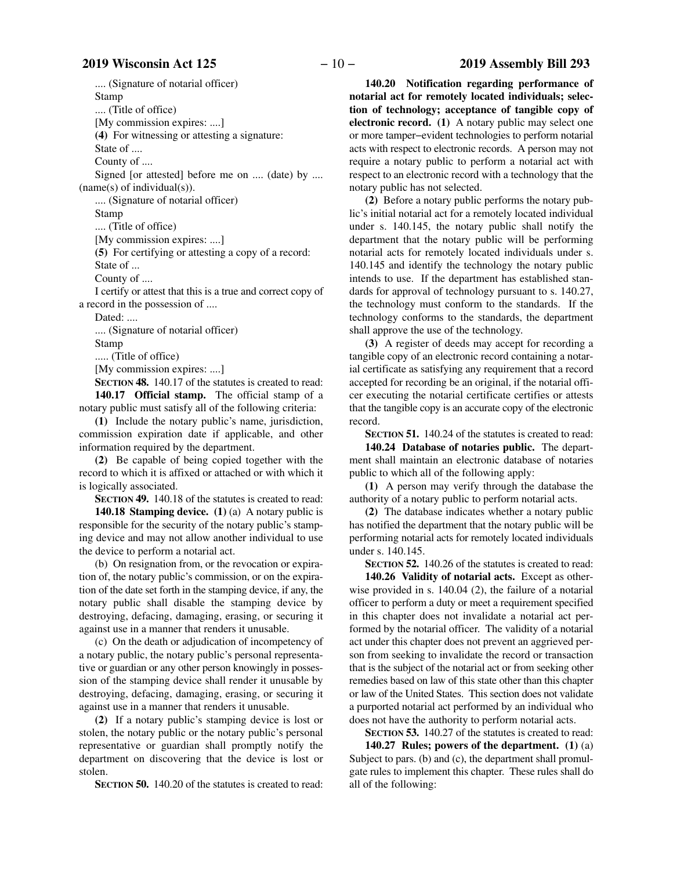### **2019 Wisconsin Act 125** − 10 − 2019 Assembly Bill 293

.... (Signature of notarial officer) Stamp .... (Title of office) [My commission expires: ....]

**(4)** For witnessing or attesting a signature:

State of ....

County of ....

Signed [or attested] before me on .... (date) by .... (name(s) of individual(s)).

.... (Signature of notarial officer)

Stamp

.... (Title of office)

[My commission expires: ....]

**(5)** For certifying or attesting a copy of a record: State of ...

County of ....

I certify or attest that this is a true and correct copy of a record in the possession of ....

Dated: ....

.... (Signature of notarial officer)

Stamp

..... (Title of office)

[My commission expires: ....]

**SECTION 48.** 140.17 of the statutes is created to read: **140.17 Official stamp.** The official stamp of a notary public must satisfy all of the following criteria:

**(1)** Include the notary public's name, jurisdiction, commission expiration date if applicable, and other information required by the department.

**(2)** Be capable of being copied together with the record to which it is affixed or attached or with which it is logically associated.

**SECTION 49.** 140.18 of the statutes is created to read:

**140.18 Stamping device. (1)** (a) A notary public is responsible for the security of the notary public's stamping device and may not allow another individual to use the device to perform a notarial act.

(b) On resignation from, or the revocation or expiration of, the notary public's commission, or on the expiration of the date set forth in the stamping device, if any, the notary public shall disable the stamping device by destroying, defacing, damaging, erasing, or securing it against use in a manner that renders it unusable.

(c) On the death or adjudication of incompetency of a notary public, the notary public's personal representative or guardian or any other person knowingly in possession of the stamping device shall render it unusable by destroying, defacing, damaging, erasing, or securing it against use in a manner that renders it unusable.

**(2)** If a notary public's stamping device is lost or stolen, the notary public or the notary public's personal representative or guardian shall promptly notify the department on discovering that the device is lost or stolen.

**SECTION 50.** 140.20 of the statutes is created to read:

**140.20 Notification regarding performance of notarial act for remotely located individuals; selection of technology; acceptance of tangible copy of electronic record. (1)** A notary public may select one or more tamper−evident technologies to perform notarial acts with respect to electronic records. A person may not require a notary public to perform a notarial act with respect to an electronic record with a technology that the notary public has not selected.

**(2)** Before a notary public performs the notary public's initial notarial act for a remotely located individual under s. 140.145, the notary public shall notify the department that the notary public will be performing notarial acts for remotely located individuals under s. 140.145 and identify the technology the notary public intends to use. If the department has established standards for approval of technology pursuant to s. 140.27, the technology must conform to the standards. If the technology conforms to the standards, the department shall approve the use of the technology.

**(3)** A register of deeds may accept for recording a tangible copy of an electronic record containing a notarial certificate as satisfying any requirement that a record accepted for recording be an original, if the notarial officer executing the notarial certificate certifies or attests that the tangible copy is an accurate copy of the electronic record.

**SECTION 51.** 140.24 of the statutes is created to read:

**140.24 Database of notaries public.** The department shall maintain an electronic database of notaries public to which all of the following apply:

**(1)** A person may verify through the database the authority of a notary public to perform notarial acts.

**(2)** The database indicates whether a notary public has notified the department that the notary public will be performing notarial acts for remotely located individuals under s. 140.145.

**SECTION** 52. 140.26 of the statutes is created to read: **140.26 Validity of notarial acts.** Except as otherwise provided in s. 140.04 (2), the failure of a notarial officer to perform a duty or meet a requirement specified in this chapter does not invalidate a notarial act performed by the notarial officer. The validity of a notarial act under this chapter does not prevent an aggrieved person from seeking to invalidate the record or transaction that is the subject of the notarial act or from seeking other remedies based on law of this state other than this chapter or law of the United States. This section does not validate a purported notarial act performed by an individual who does not have the authority to perform notarial acts.

**SECTION 53.** 140.27 of the statutes is created to read:

**140.27 Rules; powers of the department. (1)** (a) Subject to pars. (b) and (c), the department shall promulgate rules to implement this chapter. These rules shall do all of the following: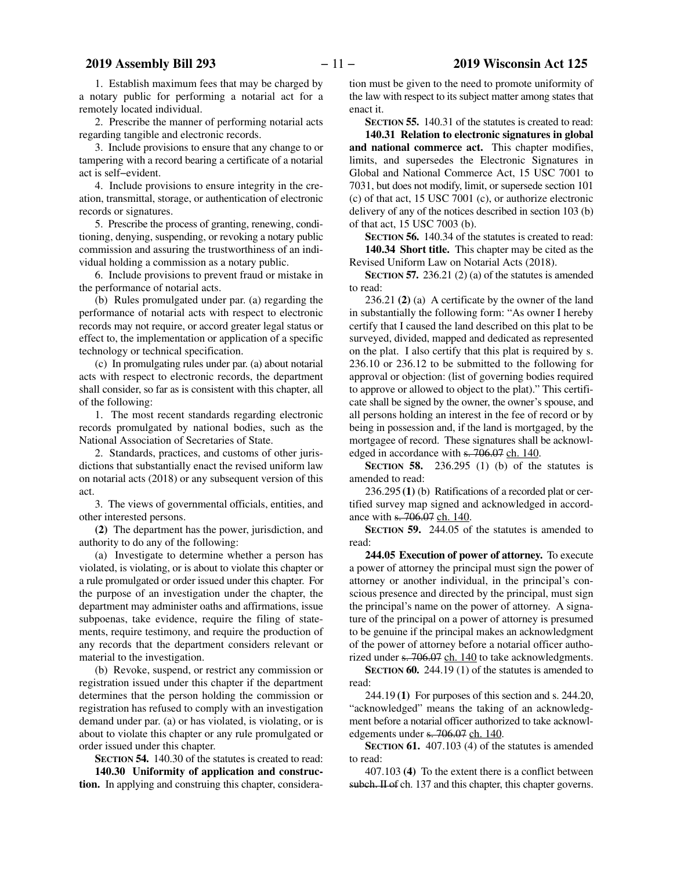1. Establish maximum fees that may be charged by a notary public for performing a notarial act for a remotely located individual.

2. Prescribe the manner of performing notarial acts regarding tangible and electronic records.

3. Include provisions to ensure that any change to or tampering with a record bearing a certificate of a notarial act is self−evident.

4. Include provisions to ensure integrity in the creation, transmittal, storage, or authentication of electronic records or signatures.

5. Prescribe the process of granting, renewing, conditioning, denying, suspending, or revoking a notary public commission and assuring the trustworthiness of an individual holding a commission as a notary public.

6. Include provisions to prevent fraud or mistake in the performance of notarial acts.

(b) Rules promulgated under par. (a) regarding the performance of notarial acts with respect to electronic records may not require, or accord greater legal status or effect to, the implementation or application of a specific technology or technical specification.

(c) In promulgating rules under par. (a) about notarial acts with respect to electronic records, the department shall consider, so far as is consistent with this chapter, all of the following:

1. The most recent standards regarding electronic records promulgated by national bodies, such as the National Association of Secretaries of State.

2. Standards, practices, and customs of other jurisdictions that substantially enact the revised uniform law on notarial acts (2018) or any subsequent version of this act.

3. The views of governmental officials, entities, and other interested persons.

**(2)** The department has the power, jurisdiction, and authority to do any of the following:

(a) Investigate to determine whether a person has violated, is violating, or is about to violate this chapter or a rule promulgated or order issued under this chapter. For the purpose of an investigation under the chapter, the department may administer oaths and affirmations, issue subpoenas, take evidence, require the filing of statements, require testimony, and require the production of any records that the department considers relevant or material to the investigation.

(b) Revoke, suspend, or restrict any commission or registration issued under this chapter if the department determines that the person holding the commission or registration has refused to comply with an investigation demand under par. (a) or has violated, is violating, or is about to violate this chapter or any rule promulgated or order issued under this chapter.

**SECTION 54.** 140.30 of the statutes is created to read:

**140.30 Uniformity of application and construction.** In applying and construing this chapter, consideration must be given to the need to promote uniformity of the law with respect to its subject matter among states that enact it.

**SECTION 55.** 140.31 of the statutes is created to read: **140.31 Relation to electronic signatures in global and national commerce act.** This chapter modifies, limits, and supersedes the Electronic Signatures in Global and National Commerce Act, 15 USC 7001 to 7031, but does not modify, limit, or supersede section 101 (c) of that act, 15 USC 7001 (c), or authorize electronic delivery of any of the notices described in section 103 (b) of that act, 15 USC 7003 (b).

**SECTION 56.** 140.34 of the statutes is created to read: **140.34 Short title.** This chapter may be cited as the Revised Uniform Law on Notarial Acts (2018).

**SECTION 57.** 236.21 (2) (a) of the statutes is amended to read:

236.21 **(2)** (a) A certificate by the owner of the land in substantially the following form: "As owner I hereby certify that I caused the land described on this plat to be surveyed, divided, mapped and dedicated as represented on the plat. I also certify that this plat is required by s. 236.10 or 236.12 to be submitted to the following for approval or objection: (list of governing bodies required to approve or allowed to object to the plat)." This certificate shall be signed by the owner, the owner's spouse, and all persons holding an interest in the fee of record or by being in possession and, if the land is mortgaged, by the mortgagee of record. These signatures shall be acknowledged in accordance with s. 706.07 ch. 140.

**SECTION 58.** 236.295 (1) (b) of the statutes is amended to read:

236.295 **(1)** (b) Ratifications of a recorded plat or certified survey map signed and acknowledged in accordance with s. 706.07 ch. 140.

**SECTION 59.** 244.05 of the statutes is amended to read:

**244.05 Execution of power of attorney.** To execute a power of attorney the principal must sign the power of attorney or another individual, in the principal's conscious presence and directed by the principal, must sign the principal's name on the power of attorney. A signature of the principal on a power of attorney is presumed to be genuine if the principal makes an acknowledgment of the power of attorney before a notarial officer authorized under s. 706.07 ch. 140 to take acknowledgments.

**SECTION 60.** 244.19 (1) of the statutes is amended to read:

244.19 **(1)** For purposes of this section and s. 244.20, "acknowledged" means the taking of an acknowledgment before a notarial officer authorized to take acknowledgements under s. 706.07 ch. 140.

**SECTION 61.** 407.103 (4) of the statutes is amended to read:

407.103 **(4)** To the extent there is a conflict between subch. II of ch. 137 and this chapter, this chapter governs.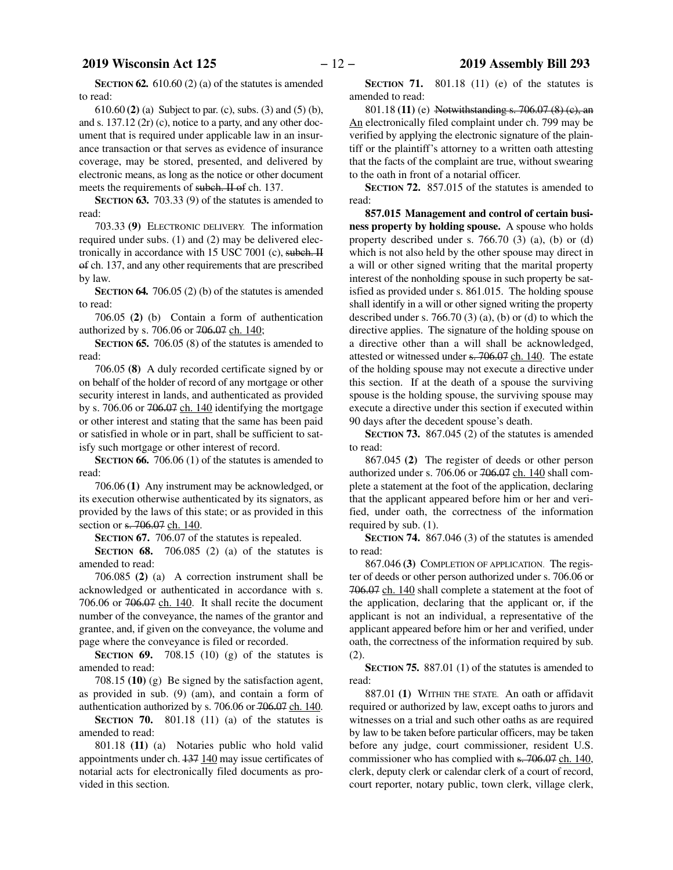**SECTION 62.** 610.60 (2) (a) of the statutes is amended to read:

610.60 **(2)** (a) Subject to par. (c), subs. (3) and (5) (b), and s. 137.12 (2r) (c), notice to a party, and any other document that is required under applicable law in an insurance transaction or that serves as evidence of insurance coverage, may be stored, presented, and delivered by electronic means, as long as the notice or other document meets the requirements of subch. II of ch. 137.

**SECTION 63.** 703.33 (9) of the statutes is amended to read:

703.33 **(9)** ELECTRONIC DELIVERY. The information required under subs. (1) and (2) may be delivered electronically in accordance with 15 USC 7001 (c), subch. II of ch. 137, and any other requirements that are prescribed by law.

**SECTION 64.** 706.05 (2) (b) of the statutes is amended to read:

706.05 **(2)** (b) Contain a form of authentication authorized by s. 706.06 or 706.07 ch. 140;

**SECTION 65.** 706.05 (8) of the statutes is amended to read:

706.05 **(8)** A duly recorded certificate signed by or on behalf of the holder of record of any mortgage or other security interest in lands, and authenticated as provided by s. 706.06 or  $706.07$  ch. 140 identifying the mortgage or other interest and stating that the same has been paid or satisfied in whole or in part, shall be sufficient to satisfy such mortgage or other interest of record.

**SECTION 66.** 706.06 (1) of the statutes is amended to read:

706.06 **(1)** Any instrument may be acknowledged, or its execution otherwise authenticated by its signators, as provided by the laws of this state; or as provided in this section or s. 706.07 ch. 140.

**SECTION 67.** 706.07 of the statutes is repealed.

**SECTION 68.** 706.085 (2) (a) of the statutes is amended to read:

706.085 **(2)** (a) A correction instrument shall be acknowledged or authenticated in accordance with s. 706.06 or 706.07 ch. 140. It shall recite the document number of the conveyance, the names of the grantor and grantee, and, if given on the conveyance, the volume and page where the conveyance is filed or recorded.

**SECTION 69.** 708.15 (10) (g) of the statutes is amended to read:

708.15 **(10)** (g) Be signed by the satisfaction agent, as provided in sub. (9) (am), and contain a form of authentication authorized by s. 706.06 or 706.07 ch. 140.

**SECTION 70.** 801.18 (11) (a) of the statutes is amended to read:

801.18 **(11)** (a) Notaries public who hold valid appointments under ch. 137 140 may issue certificates of notarial acts for electronically filed documents as provided in this section.

**SECTION 71.** 801.18 (11) (e) of the statutes is amended to read:

801.18 **(11)** (e) Notwithstanding s. 706.07 (8) (c), an An electronically filed complaint under ch. 799 may be verified by applying the electronic signature of the plaintiff or the plaintiff's attorney to a written oath attesting that the facts of the complaint are true, without swearing to the oath in front of a notarial officer.

**SECTION 72.** 857.015 of the statutes is amended to read:

**857.015 Management and control of certain business property by holding spouse.** A spouse who holds property described under s. 766.70 (3) (a), (b) or (d) which is not also held by the other spouse may direct in a will or other signed writing that the marital property interest of the nonholding spouse in such property be satisfied as provided under s. 861.015. The holding spouse shall identify in a will or other signed writing the property described under s. 766.70 $(3)$  $(a)$ ,  $(b)$  or  $(d)$  to which the directive applies. The signature of the holding spouse on a directive other than a will shall be acknowledged, attested or witnessed under s. 706.07 ch. 140. The estate of the holding spouse may not execute a directive under this section. If at the death of a spouse the surviving spouse is the holding spouse, the surviving spouse may execute a directive under this section if executed within 90 days after the decedent spouse's death.

**SECTION 73.** 867.045 (2) of the statutes is amended to read:

867.045 **(2)** The register of deeds or other person authorized under s. 706.06 or 706.07 ch. 140 shall complete a statement at the foot of the application, declaring that the applicant appeared before him or her and verified, under oath, the correctness of the information required by sub. (1).

**SECTION 74.** 867.046 (3) of the statutes is amended to read:

867.046 **(3)** COMPLETION OF APPLICATION. The register of deeds or other person authorized under s. 706.06 or 706.07 ch. 140 shall complete a statement at the foot of the application, declaring that the applicant or, if the applicant is not an individual, a representative of the applicant appeared before him or her and verified, under oath, the correctness of the information required by sub. (2).

**SECTION 75.** 887.01 (1) of the statutes is amended to read:

887.01 **(1)** WITHIN THE STATE. An oath or affidavit required or authorized by law, except oaths to jurors and witnesses on a trial and such other oaths as are required by law to be taken before particular officers, may be taken before any judge, court commissioner, resident U.S. commissioner who has complied with s. 706.07 ch. 140, clerk, deputy clerk or calendar clerk of a court of record, court reporter, notary public, town clerk, village clerk,